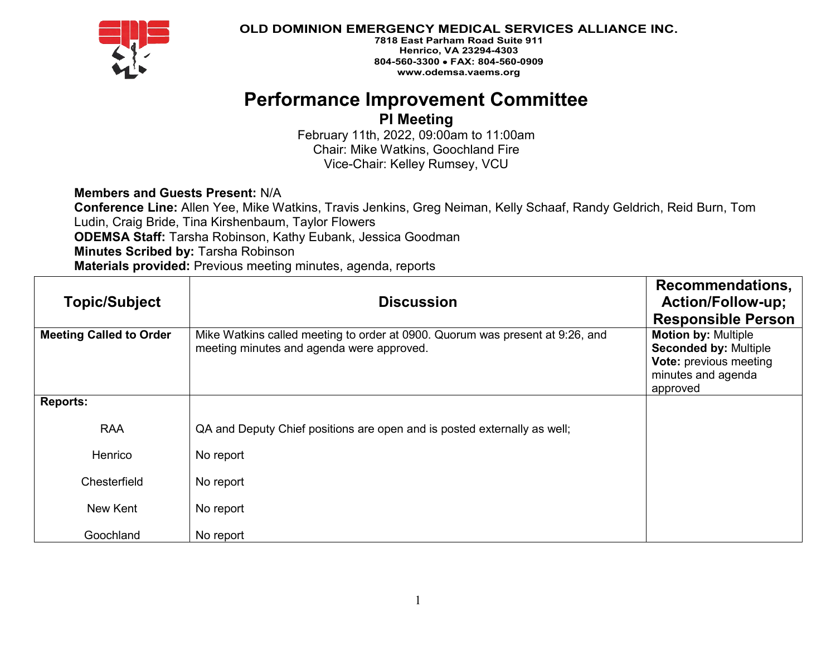

**7818 East Parham Road Suite 911 Henrico, VA 23294-4303 804-560-3300** • **FAX: 804-560-0909 www.odemsa.vaems.org**

## **Performance Improvement Committee**

**PI Meeting** 

February 11th, 2022, 09:00am to 11:00am Chair: Mike Watkins, Goochland Fire Vice-Chair: Kelley Rumsey, VCU

**Members and Guests Present:** N/A

**Conference Line:** Allen Yee, Mike Watkins, Travis Jenkins, Greg Neiman, Kelly Schaaf, Randy Geldrich, Reid Burn, Tom Ludin, Craig Bride, Tina Kirshenbaum, Taylor Flowers **ODEMSA Staff:** Tarsha Robinson, Kathy Eubank, Jessica Goodman **Minutes Scribed by:** Tarsha Robinson **Materials provided:** Previous meeting minutes, agenda, reports

| <b>Topic/Subject</b>           | <b>Discussion</b>                                                                                                          | Recommendations,<br><b>Action/Follow-up;</b><br><b>Responsible Person</b>                                                     |
|--------------------------------|----------------------------------------------------------------------------------------------------------------------------|-------------------------------------------------------------------------------------------------------------------------------|
| <b>Meeting Called to Order</b> | Mike Watkins called meeting to order at 0900. Quorum was present at 9:26, and<br>meeting minutes and agenda were approved. | <b>Motion by: Multiple</b><br><b>Seconded by: Multiple</b><br><b>Vote: previous meeting</b><br>minutes and agenda<br>approved |
| <b>Reports:</b>                |                                                                                                                            |                                                                                                                               |
| <b>RAA</b>                     | QA and Deputy Chief positions are open and is posted externally as well;                                                   |                                                                                                                               |
| Henrico                        | No report                                                                                                                  |                                                                                                                               |
| Chesterfield                   | No report                                                                                                                  |                                                                                                                               |
| New Kent                       | No report                                                                                                                  |                                                                                                                               |
| Goochland                      | No report                                                                                                                  |                                                                                                                               |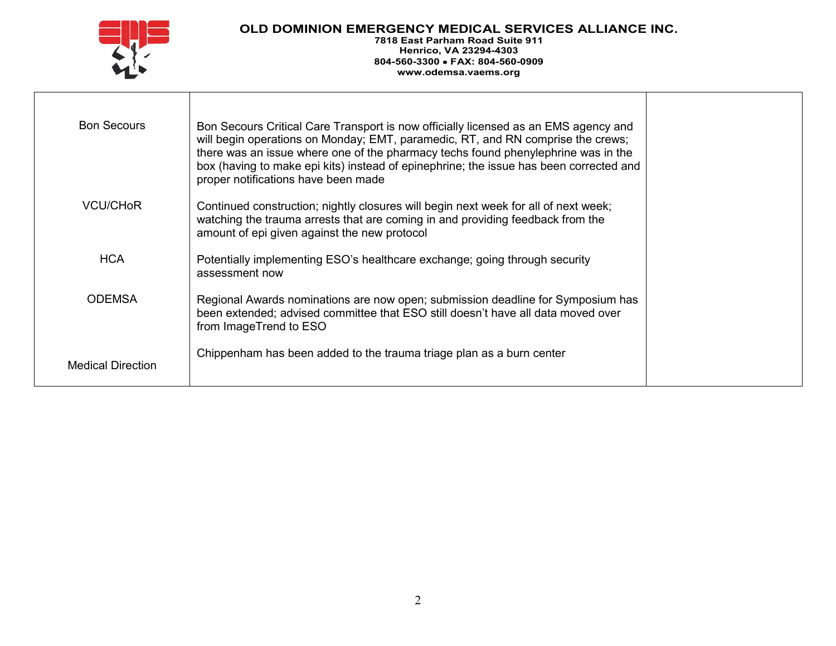

**7818 East Parham Road Suite 911 Henrico, VA 23294-4303 804-560-3300** • **FAX: 804-560-0909 www.odemsa.vaems.org**

| <b>Bon Secours</b>       | Bon Secours Critical Care Transport is now officially licensed as an EMS agency and<br>will begin operations on Monday; EMT, paramedic, RT, and RN comprise the crews;<br>there was an issue where one of the pharmacy techs found phenylephrine was in the<br>box (having to make epi kits) instead of epinephrine; the issue has been corrected and<br>proper notifications have been made |  |
|--------------------------|----------------------------------------------------------------------------------------------------------------------------------------------------------------------------------------------------------------------------------------------------------------------------------------------------------------------------------------------------------------------------------------------|--|
| VCU/CH <sub>o</sub> R    | Continued construction; nightly closures will begin next week for all of next week;<br>watching the trauma arrests that are coming in and providing feedback from the<br>amount of epi given against the new protocol                                                                                                                                                                        |  |
| <b>HCA</b>               | Potentially implementing ESO's healthcare exchange; going through security<br>assessment now                                                                                                                                                                                                                                                                                                 |  |
| <b>ODEMSA</b>            | Regional Awards nominations are now open; submission deadline for Symposium has<br>been extended; advised committee that ESO still doesn't have all data moved over<br>from ImageTrend to ESO                                                                                                                                                                                                |  |
| <b>Medical Direction</b> | Chippenham has been added to the trauma triage plan as a burn center                                                                                                                                                                                                                                                                                                                         |  |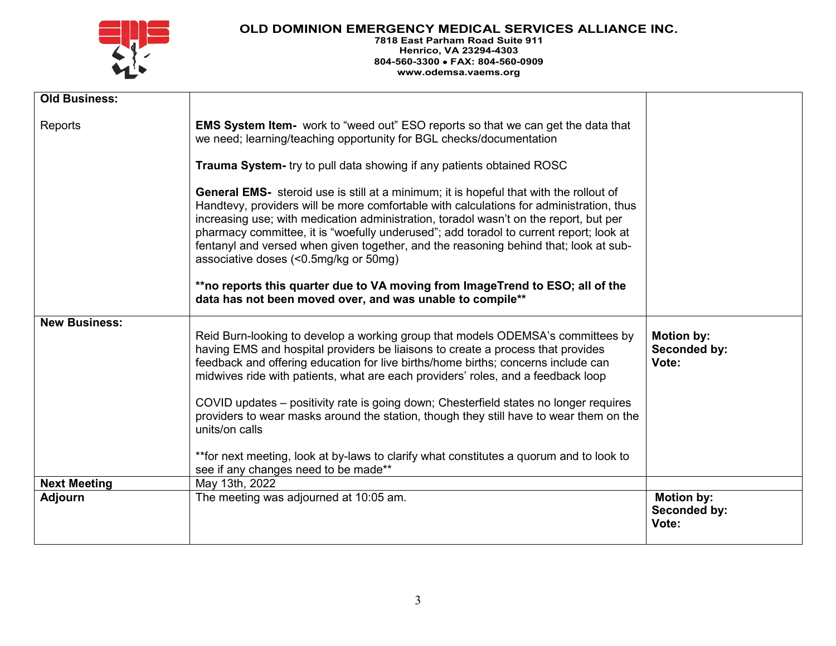

**7818 East Parham Road Suite 911 Henrico, VA 23294-4303 804-560-3300** • **FAX: 804-560-0909 www.odemsa.vaems.org**

| <b>Old Business:</b> |                                                                                                                                                                                                                                                                                                                                                                                                                                                                                                                                                  |                                            |
|----------------------|--------------------------------------------------------------------------------------------------------------------------------------------------------------------------------------------------------------------------------------------------------------------------------------------------------------------------------------------------------------------------------------------------------------------------------------------------------------------------------------------------------------------------------------------------|--------------------------------------------|
| Reports              | <b>EMS System Item-</b> work to "weed out" ESO reports so that we can get the data that<br>we need; learning/teaching opportunity for BGL checks/documentation                                                                                                                                                                                                                                                                                                                                                                                   |                                            |
|                      | Trauma System- try to pull data showing if any patients obtained ROSC                                                                                                                                                                                                                                                                                                                                                                                                                                                                            |                                            |
|                      | <b>General EMS-</b> steroid use is still at a minimum; it is hopeful that with the rollout of<br>Handtevy, providers will be more comfortable with calculations for administration, thus<br>increasing use; with medication administration, toradol wasn't on the report, but per<br>pharmacy committee, it is "woefully underused"; add toradol to current report; look at<br>fentanyl and versed when given together, and the reasoning behind that; look at sub-<br>associative doses (<0.5mg/kg or 50mg)                                     |                                            |
|                      | **no reports this quarter due to VA moving from ImageTrend to ESO; all of the<br>data has not been moved over, and was unable to compile**                                                                                                                                                                                                                                                                                                                                                                                                       |                                            |
| <b>New Business:</b> | Reid Burn-looking to develop a working group that models ODEMSA's committees by<br>having EMS and hospital providers be liaisons to create a process that provides<br>feedback and offering education for live births/home births; concerns include can<br>midwives ride with patients, what are each providers' roles, and a feedback loop<br>COVID updates - positivity rate is going down; Chesterfield states no longer requires<br>providers to wear masks around the station, though they still have to wear them on the<br>units/on calls | <b>Motion by:</b><br>Seconded by:<br>Vote: |
|                      | **for next meeting, look at by-laws to clarify what constitutes a quorum and to look to<br>see if any changes need to be made**                                                                                                                                                                                                                                                                                                                                                                                                                  |                                            |
| <b>Next Meeting</b>  | May 13th, 2022                                                                                                                                                                                                                                                                                                                                                                                                                                                                                                                                   |                                            |
| <b>Adjourn</b>       | The meeting was adjourned at 10:05 am.                                                                                                                                                                                                                                                                                                                                                                                                                                                                                                           | <b>Motion by:</b><br>Seconded by:<br>Vote: |